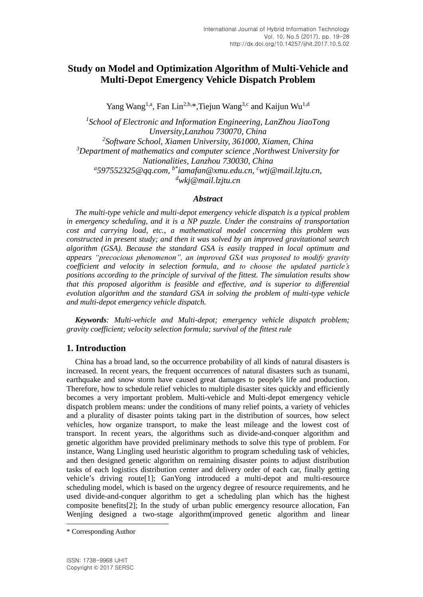# **Study on Model and Optimization Algorithm of Multi-Vehicle and Multi-Depot Emergency Vehicle Dispatch Problem**

Yang Wang<sup>1,a</sup>, Fan Lin<sup>2,b,\*</sup>,Tiejun Wang<sup>3,c</sup> and Kaijun Wu<sup>1,d</sup>

*1 School of Electronic and Information Engineering, LanZhou JiaoTong Unversity,Lanzhou 730070, China 2 Software School, Xiamen University, 361000, Xiamen, China <sup>3</sup>Department of mathematics and computer science ,Northwest University for Nationalities, Lanzhou 730030, China a [597552325@qq.com,](mailto:a597552325@qq.com) b\* iamafan@xmu.edu.cn, <sup>c</sup>wtj@mail.lzjtu.cn, <sup>d</sup>wkj@mail.lzjtu.cn*

### *Abstract*

*The multi-type vehicle and multi-depot emergency vehicle dispatch is a typical problem in emergency scheduling, and it is a NP puzzle. Under the constrains of transportation cost and carrying load, etc., a mathematical model concerning this problem was constructed in present study; and then it was solved by an improved gravitational search algorithm (GSA). Because the standard GSA is easily trapped in local optimum and appears "precocious phenomenon", an improved GSA was proposed to modify gravity coefficient and velocity in selection formula, and to choose the updated particle's positions according to the principle of survival of the fittest. The simulation results show that this proposed algorithm is feasible and effective, and is superior to differential evolution algorithm and the standard GSA in solving the problem of multi-type vehicle and multi-depot emergency vehicle dispatch.*

*Keywords: Multi-vehicle and Multi-depot; emergency vehicle dispatch problem; gravity coefficient; velocity selection formula; survival of the fittest rule*

## **1. Introduction**

China has a broad land, so the occurrence probability of all kinds of natural disasters is increased. In recent years, the frequent occurrences of natural disasters such as tsunami, earthquake and snow storm have caused great damages to people's life and production. Therefore, how to schedule relief vehicles to multiple disaster sites quickly and efficiently becomes a very important problem. Multi-vehicle and Multi-depot emergency vehicle dispatch problem means: under the conditions of many relief points, a variety of vehicles and a plurality of disaster points taking part in the distribution of sources, how select vehicles, how organize transport, to make the least mileage and the lowest cost of transport. In recent years, the algorithms such as divide-and-conquer algorithm and genetic algorithm have provided preliminary methods to solve this type of problem. For instance, Wang Lingling used heuristic algorithm to program scheduling task of vehicles, and then designed genetic algorithm on remaining disaster points to adjust distribution tasks of each logistics distribution center and delivery order of each car, finally getting vehicle's driving route[1]; GanYong introduced a multi-depot and multi-resource scheduling model, which is based on the urgency degree of resource requirements, and he used divide-and-conquer algorithm to get a scheduling plan which has the highest composite benefits[2]; In the study of urban public emergency resource allocation, Fan Wenjing designed a two-stage algorithm(improved genetic algorithm and linear

 $\overline{a}$ 

<sup>\*</sup> Corresponding Author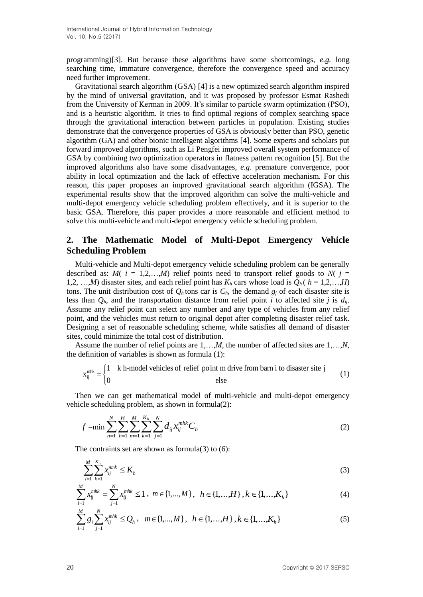programming)[3]. But because these algorithms have some shortcomings, *e.g.* long searching time, immature convergence, therefore the convergence speed and accuracy need further improvement.

Gravitational search algorithm (GSA) [4] is a new optimized search algorithm inspired by the mind of universal gravitation, and it was proposed by professor Esmat Rashedi from the University of Kerman in 2009. It's similar to particle swarm optimization (PSO), and is a heuristic algorithm. It tries to find optimal regions of complex searching space through the gravitational interaction between particles in population. Existing studies demonstrate that the convergence properties of GSA is obviously better than PSO, genetic algorithm (GA) and other bionic intelligent algorithms [4]. Some experts and scholars put forward improved algorithms, such as Li Pengfei improved overall system performance of GSA by combining two optimization operators in flatness pattern recognition [5]. But the improved algorithms also have some disadvantages, *e.g*. premature convergence, poor ability in local optimization and the lack of effective acceleration mechanism. For this reason, this paper proposes an improved gravitational search algorithm (IGSA). The experimental results show that the improved algorithm can solve the multi-vehicle and multi-depot emergency vehicle scheduling problem effectively, and it is superior to the basic GSA. Therefore, this paper provides a more reasonable and efficient method to solve this multi-vehicle and multi-depot emergency vehicle scheduling problem.

## **2. The Mathematic Model of Multi-Depot Emergency Vehicle Scheduling Problem**

Multi-vehicle and Multi-depot emergency vehicle scheduling problem can be generally described as:  $M(i = 1,2,...,M)$  relief points need to transport relief goods to  $N(j = 1,2,...,M)$ 1,2, …,*M*) disaster sites, and each relief point has  $K_h$  cars whose load is  $Q_h$  ( $h = 1,2,...,H$ ) tons. The unit distribution cost of  $Q_h$  tons car is  $C_h$ , the demand  $g_i$  of each disaster site is less than  $O_h$ , and the transportation distance from relief point *i* to affected site *j* is  $d_{ii}$ . Assume any relief point can select any number and any type of vehicles from any relief point, and the vehicles must return to original depot after completing disaster relief task. Designing a set of reasonable scheduling scheme, while satisfies all demand of disaster sites, could minimize the total cost of distribution.

Assume the number of relief points are 1,…,*M*, the number of affected sites are 1,…,*N*, the definition of variables is shown as formula (1):

$$
x_{ij}^{\text{mhk}} = \begin{cases} 1 & \text{ k h-model vehicles of relief point m drive from barn i to disaster site } j \\ 0 & \text{else} \end{cases} \tag{1}
$$

Then we can get mathematical model of multi-vehicle and multi-depot emergency vehicle scheduling problem, as shown in formula(2):

$$
f = \min \sum_{n=1}^{N} \sum_{h=1}^{H} \sum_{m=1}^{M} \sum_{k=1}^{K_h} \sum_{j=1}^{N} d_{ij} x_{ij}^{mhk} C_h
$$
 (2)

The contraints set are shown as formula(3) to  $(6)$ :

$$
\sum_{i=1}^{M} \sum_{k=1}^{K_m} x_{ij}^{nmk} \le K_h
$$
\n(3)

$$
\sum_{i=1}^{M} x_{ij}^{mhk} = \sum_{j=1}^{N} x_{ij}^{mhk} \le 1, \ m \in \{1, ..., M\}, \ h \in \{1, ..., H\}, k \in \{1, ..., K_h\}
$$
 (4)

$$
\sum_{i=1}^{M} g_i \sum_{j=1}^{N} x_{ij}^{mhk} \le Q_h, \quad m \in \{1, ..., M\}, \quad h \in \{1, ..., H\}, k \in \{1, ..., K_h\}
$$
 (5)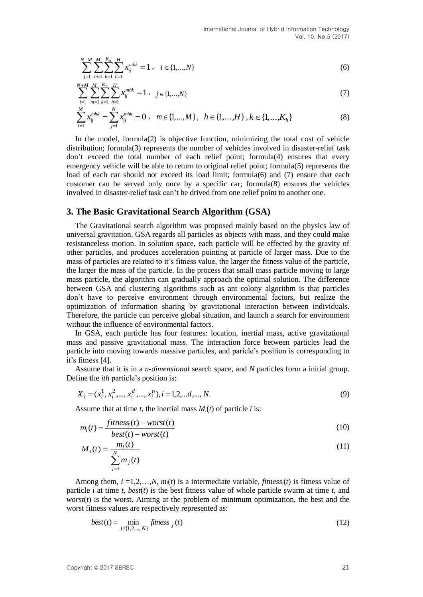$$
\sum_{j=1}^{N+M} \sum_{m=1}^{M} \sum_{k=1}^{K_h} \sum_{h=1}^{H} x_{ij}^{mhk} = 1, \quad i \in \{1, ..., N\}
$$
\n(6)

$$
\sum_{i=1}^{N+M} \sum_{m=1}^{M} \sum_{k=1}^{K_h} \sum_{h=1}^{H} x_{ij}^{mhk} = 1, \quad j \in \{1, \dots, N\}
$$
\n(7)

$$
\sum_{i=1}^{M} x_{ij}^{mhk} = \sum_{j=1}^{N} x_{ij}^{mhk} = 0 , \quad m \in \{1, ..., M\} , \quad h \in \{1, ..., H\} , k \in \{1, ..., K_h\}
$$
 (8)

In the model, formula(2) is objective function, minimizing the total cost of vehicle distribution; formula(3) represents the number of vehicles involved in disaster-relief task don't exceed the total number of each relief point; formula(4) ensures that every emergency vehicle will be able to return to original relief point; formula(5) represents the load of each car should not exceed its load limit; formula(6) and (7) ensure that each customer can be served only once by a specific car; formula(8) ensures the vehicles involved in disaster-relief task can't be drived from one relief point to another one.

### **3. The Basic Gravitational Search Algorithm (GSA)**

Copyright  $\sum_{n=1}^{\infty} \sum_{n=1}^{\infty} \sum_{n=1}^{\infty} \sum_{n=1}^{\infty} \sum_{n=1}^{\infty} \sum_{n=1}^{\infty} \sum_{n=1}^{\infty} \sum_{n=1}^{\infty} \sum_{n=1}^{\infty} \sum_{n=1}^{\infty} \sum_{n=1}^{\infty} \sum_{n=1}^{\infty} \sum_{n=1}^{\infty} \sum_{n=1}^{\infty} \sum_{n=1}^{\infty} \sum_{n=1}^{\infty} \sum_{n=1}^{\infty} \sum_{n$ The Gravitational search algorithm was proposed mainly based on the physics law of universal gravitation. GSA regards all particles as objects with mass, and they could make resistanceless motion. In solution space, each particle will be effected by the gravity of other particles, and produces acceleration pointing at particle of larger mass. Due to the mass of particles are related to it's fitness value, the larger the fitness value of the particle, the larger the mass of the particle. In the process that small mass particle moving to large mass particle, the algorithm can gradually approach the optimal solution. The difference between GSA and clustering algorithms such as ant colony algorithm is that particles don't have to perceive environment through environmental factors, but realize the optimization of information sharing by gravitational interaction between individuals. Therefore, the particle can perceive global situation, and launch a search for environment without the influence of environmental factors.

In GSA, each particle has four features: location, inertial mass, active gravitational mass and passive gravitational mass. The interaction force between particles lead the particle into moving towards massive particles, and paricle's position is corresponding to it's fitness [4].

Assume that it is in a *n-dimensional* search space, and *N* particles form a initial group. Define the *ith* particle's position is:

$$
X_i = (x_i^1, x_i^2, \dots, x_i^d, \dots, x_i^n), i = 1, 2, \dots, N. \tag{9}
$$

Assume that at time  $t$ , the inertial mass  $M_i(t)$  of particle  $i$  is:

$$
m_i(t) = \frac{fitness_i(t) - worst(t)}{best(t) - worst(t)}
$$
\n(10)

$$
M_i(t) = \frac{m_i(t)}{\sum_{j=1}^{N} m_j(t)}
$$
(11)

Among them,  $i = 1, 2, \ldots, N$ ,  $m_i(t)$  is a intermediate variable, *fitness<sub>i</sub>*(*t*) is fitness value of particle *i* at time *t, best*(*t*) is the best fitness value of whole particle swarm at time *t*, and *worst*(*t*) is the worst. Aiming at the problem of minimum optimization, the best and the worst fitness values are respectively represented as:

$$
best(t) = \min_{j \in \{1, 2, ..., N\}} fitness_j(t)
$$
\n(12)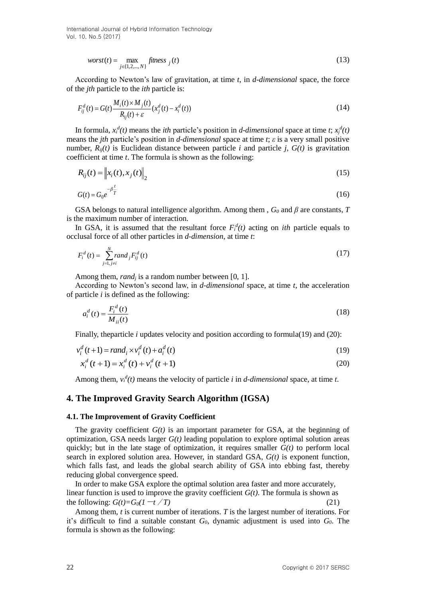International Journal of Hybrid Information Technology Vol. 10, No.5 (2017)

$$
worst(t) = \max_{j \in \{1, 2, \dots, N\}} f \text{times } s_j(t) \tag{13}
$$

According to Newton's law of gravitation, at time *t*, in *d-dimensional* space, the force of the *jth* particle to the *ith* particle is:

$$
F_{ij}^{d}(t) = G(t) \frac{M_i(t) \times M_j(t)}{R_{ij}(t) + \varepsilon} (x_j^{d}(t) - x_i^{d}(t))
$$
\n(14)

In formula,  $x_i^d(t)$  means the *ith* particle's position in *d-dimensional* space at time *t*;  $x_j^d(t)$ means the *jth* particle's position in *d-dimensional* space at time *t*; *ε* is a very small positive number,  $R_{ii}(t)$  is Euclidean distance between particle *i* and particle *j*,  $G(t)$  is gravitation coefficient at time *t*. The formula is shown as the following:

$$
R_{ij}(t) = \left\| x_i(t), x_j(t) \right\|_2 \tag{15}
$$

$$
G(t) = G_0 e^{-\beta \frac{t}{T}} \tag{16}
$$

GSA belongs to natural intelligence algorithm. Among them ,  $G_0$  and  $\beta$  are constants, *T* is the maximum number of interaction.

In GSA, it is assumed that the resultant force  $F_i^d(t)$  acting on *ith* particle equals to occlusal force of all other particles in *d-dimension*, at time *t*:

$$
F_i^d(t) = \sum_{j=1, j\neq i}^N rand_j F_{ij}^d(t)
$$
\n
$$
(17)
$$

Among them, *rand<sub>i</sub>* is a random number between [0, 1].

According to Newton's second law, in *d-dimensional* space, at time *t*, the acceleration of particle *i* is defined as the following:

$$
a_i^d(t) = \frac{F_i^d(t)}{M_{ii}(t)}\tag{18}
$$

Finally, the particle *i* updates velocity and position according to formula(19) and (20):

$$
v_i^d(t+1) = rand_i \times v_i^d(t) + a_i^d(t)
$$
\n(19)

$$
x_i^d(t+1) = x_i^d(t) + v_i^d(t+1)
$$
\n(20)

Among them,  $v_i^d(t)$  means the velocity of particle *i* in *d*-dimensional space, at time *t*.

### **4. The Improved Gravity Search Algorithm (IGSA)**

#### **4.1. The Improvement of Gravity Coefficient**

word(i) =  $\frac{1}{2(1+2+2)}$ . Although the between the line in the three states and the particle of the particle between the particle of the particle and the particle of the particle of the particle of the particle of the pa The gravity coefficient *G(t)* is an important parameter for GSA, at the beginning of optimization, GSA needs larger *G(t)* leading population to explore optimal solution areas quickly; but in the late stage of optimization, it requires smaller  $G(t)$  to perform local search in explored solution area. However, in standard GSA, *G(t)* is exponent function, which falls fast, and leads the global search ability of GSA into ebbing fast, thereby reducing global convergence speed.

In order to make GSA explore the optimal solution area faster and more accurately, linear function is used to improve the gravity coefficient  $G(t)$ . The formula is shown as the following:  $G(t) = G_0(1 - t / T)$  (21)

Among them, *t* is current number of iterations. *T* is the largest number of iterations. For it's difficult to find a suitable constant *G0*, dynamic adjustment is used into *G0*. The formula is shown as the following: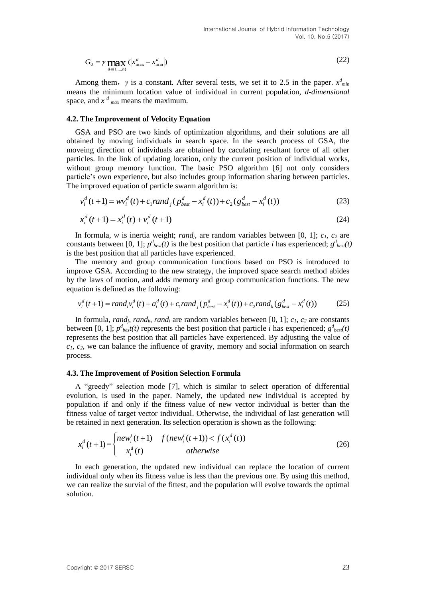$$
G_0 = \gamma \max_{d \in \{1,\dots,n\}} \left( \left| x_{\max}^d - x_{\min}^d \right| \right) \tag{22}
$$

Among them, *γ* is a constant. After several tests, we set it to 2.5 in the paper.  $x^d_{min}$ means the minimum location value of individual in current population, *d-dimensional* space, and  $x^d$  <sub>max</sub> means the maximum.

#### **4.2. The Improvement of Velocity Equation**

Co<sub>p</sub> - 7 **Frag (** $x_{\text{min}}^2$ ,  $x_{\text{min}}^2$ ,  $x_{\text{min}}^2$ ) (25)<br>Among them,  $y$  is a constant. After several tests, we set it to 2.5 in the paper.  $x^2$ <br>means the minimum location value of individual in current population. GSA and PSO are two kinds of optimization algorithms, and their solutions are all obtained by moving individuals in search space. In the search process of GSA, the moveing direction of individuals are obtained by caculating resultant force of all other particles. In the link of updating location, only the current position of individual works, without group memory function. The basic PSO algorithm [6] not only considers particle's own experience, but also includes group information sharing between particles. The improved equation of particle swarm algorithm is:

$$
v_i^d(t+1) = w v_i^d(t) + c_1 rand_j (p_{best}^d - x_i^d(t)) + c_2 (g_{best}^d - x_i^d(t))
$$
\n(23)

$$
x_i^d(t+1) = x_i^d(t) + v_i^d(t+1)
$$
\n(24)

In formula, *w* is inertia weight; *randj*, are random variables between [0, 1]; *c1*, *c<sup>2</sup>* are constants between [0, 1];  $p^d_{best}(t)$  is the best position that particle *i* has experienced;  $g^d_{best}(t)$ is the best position that all particles have experienced.

The memory and group communication functions based on PSO is introduced to improve GSA. According to the new strategy, the improved space search method abides by the laws of motion, and adds memory and group communication functions. The new equation is defined as the following:

$$
v_i^d(t+1) = rand_i v_i^d(t) + a_i^d(t) + c_1 rand_j (p_{best}^d - x_i^d(t)) + c_2 rand_k (g_{best}^d - x_i^d(t))
$$
 (25)

In formula, *rand<sub>i</sub>*, *rand<sub>k</sub>*, *rand<sub>i</sub>* are random variables between [0, 1];  $c_1$ ,  $c_2$  are constants between [0, 1];  $p^d_{best}(t)$  represents the best position that particle *i* has experienced;  $g^d_{best}(t)$ represents the best position that all particles have experienced. By adjusting the value of *c1*, *c2*, we can balance the influence of gravity, memory and social information on search process.

### **4.3. The Improvement of Position Selection Formula**

A "greedy" selection mode [7], which is similar to select operation of differential evolution, is used in the paper. Namely, the updated new individual is accepted by population if and only if the fitness value of new vector individual is better than the fitness value of target vector individual. Otherwise, the individual of last generation will be retained in next generation. Its selection operation is shown as the following:

$$
x_i^d(t+1) = \begin{cases} new_i^t(t+1) & f(new_i^t(t+1)) < f(x_i^d(t)) \\ x_i^d(t) & otherwise \end{cases}
$$
 (26)

In each generation, the updated new individual can replace the location of current individual only when its fitness value is less than the previous one. By using this method, we can realize the survial of the fittest, and the population will evolve towards the optimal solution.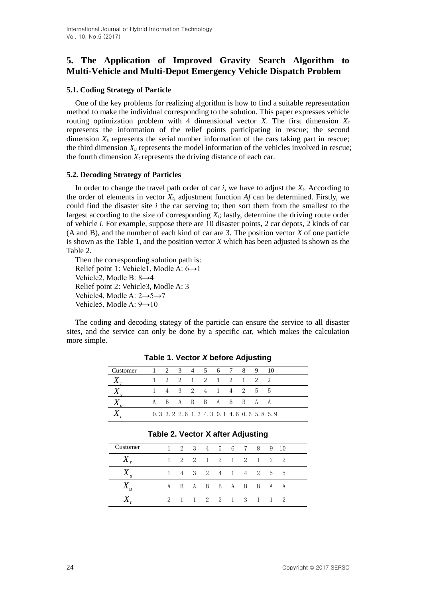# **5. The Application of Improved Gravity Search Algorithm to Multi-Vehicle and Multi-Depot Emergency Vehicle Dispatch Problem**

## **5.1. Coding Strategy of Particle**

One of the key problems for realizing algorithm is how to find a suitable representation method to make the individual corresponding to the solution. This paper expresses vehicle routing optimization problem with 4 dimensional vector *X*. The first dimension *X<sup>r</sup>* represents the information of the relief points participating in rescue; the second dimension  $X_s$  represents the serial number information of the cars taking part in rescue; the third dimension  $X_u$  represents the model information of the vehicles involved in rescue; the fourth dimension  $X_t$  represents the driving distance of each car.

## **5.2. Decoding Strategy of Particles**

In order to change the travel path order of car  $i$ , we have to adjust the  $X_t$ . According to the order of elements in vector  $X_t$ , adjustment function  $Af$  can be determined. Firstly, we could find the disaster site *i* the car serving to; then sort them from the smallest to the largest according to the size of corresponding *Xt*; lastly, determine the driving route order of vehicle *i*. For example, suppose there are 10 disaster points, 2 car depots, 2 kinds of car (A and B), and the number of each kind of car are 3. The position vector *X* of one particle is shown as the Table 1, and the position vector *X* which has been adjusted is shown as the Table 2.

Then the corresponding solution path is: Relief point 1: Vehicle1, Modle A: 6→1 Vehicle2, Modle B: 8→4 Relief point 2: Vehicle3, Modle A: 3 Vehicle4, Modle A: 2→5→7 Vehicle5, Modle A: 9→10

The coding and decoding stategy of the particle can ensure the service to all disaster sites, and the service can only be done by a specific car, which makes the calculation more simple.

| Customer | 1 2 3 4 5 6 7 8 9 10                    |                   |  |  |  |  |
|----------|-----------------------------------------|-------------------|--|--|--|--|
|          |                                         | 2 2 1 2 1 2 1 2 2 |  |  |  |  |
|          | 4 3 2 4 1 4 2 5 5                       |                   |  |  |  |  |
|          | A B A B B A B B A A                     |                   |  |  |  |  |
|          | 0.3 3.2 2.6 1.3 4.3 0.1 4.6 0.6 5.8 5.9 |                   |  |  |  |  |

**Table 1. Vector** *X* **before Adjusting**

| Table 2. Vector X after Adjusting |  |
|-----------------------------------|--|
|-----------------------------------|--|

| Customer |   |    |     |  |                     | 2 3 4 5 6 7 8   |  | 9 10 |  |
|----------|---|----|-----|--|---------------------|-----------------|--|------|--|
|          |   |    | 2 2 |  |                     | 1 2 1 2 1 2     |  |      |  |
|          |   |    |     |  |                     | 4 3 2 4 1 4 2 5 |  | 5    |  |
|          | А | B. |     |  |                     | A B B A B B A A |  |      |  |
|          | 2 |    |     |  | $1 \t2 \t2 \t1 \t3$ |                 |  |      |  |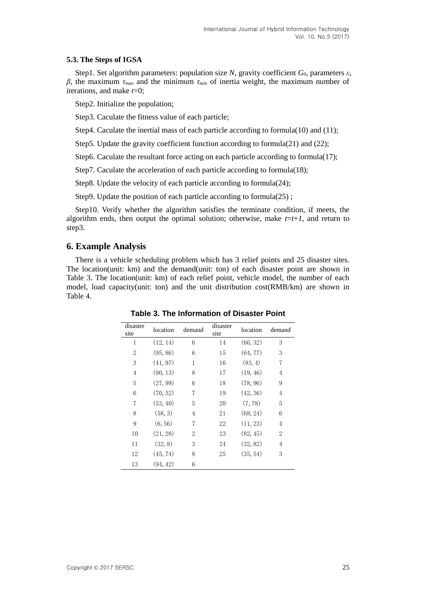### **5.3. The Steps of IGSA**

Step1. Set algorithm parameters: population size *N*, gravity coefficient *G0*, parameters *ε*, *β*, the maximum *τmax* and the minimum *τmin* of inertia weight, the maximum number of iterations, and make *t*=0;

Step2. Initialize the population;

Step3. Caculate the fitness value of each particle;

Step4. Caculate the inertial mass of each particle according to formula(10) and (11);

Step5. Update the gravity coefficient function according to formula(21) and (22);

Step6. Caculate the resultant force acting on each particle according to formula(17);

Step7. Caculate the acceleration of each particle according to formula(18);

Step8. Update the velocity of each particle according to formula(24);

Step9. Update the position of each particle according to formula(25);

Step10. Verify whether the algorithm satisfies the terminate condition, if meets, the algorithm ends, then output the optimal solution; otherwise, make  $t=t+1$ , and return to step3.

## **6. Example Analysis**

There is a vehicle scheduling problem which has 3 relief points and 25 disaster sites. The location(unit: km) and the demand(unit: ton) of each disaster point are shown in Table 3. The location(unit: km) of each relief point, vehicle model, the number of each model, load capacity(unit: ton) and the unit distribution cost(RMB/km) are shown in Table 4.

| disaster<br>site | location | demand | disaster<br>site | location | demand         |
|------------------|----------|--------|------------------|----------|----------------|
| 1                | (12, 14) | 6      | 14               | (66, 32) | 3              |
| 2                | (95, 86) | 6      | 15               | (64, 77) | 3              |
| 3                | (41, 97) | 1      | 16               | (83, 4)  | 7              |
| $\overline{4}$   | (90, 13) | 8      | 17               | (19, 46) | 4              |
| 5                | (27, 99) | 6      | 18               | (78, 96) | 9              |
| 6                | (70, 52) | 7      | 19               | (42, 36) | $\overline{4}$ |
| $\overline{7}$   | (53, 40) | 5      | 20               | (7, 78)  | 5              |
| 8                | (58, 3)  | 4      | 21               | (68, 24) | 6              |
| 9                | (6, 56)  | 7      | 22               | (11, 23) | 4              |
| 10               | (21, 28) | 2      | 23               | (82, 45) | 2              |
| 11               | (32, 8)  | 3      | 24               | (32, 82) | $\overline{4}$ |
| 12               | (45, 74) | 8      | 25               | (35, 54) | 3              |
| 13               | (94, 42) | 6      |                  |          |                |

**Table 3. The Information of Disaster Point**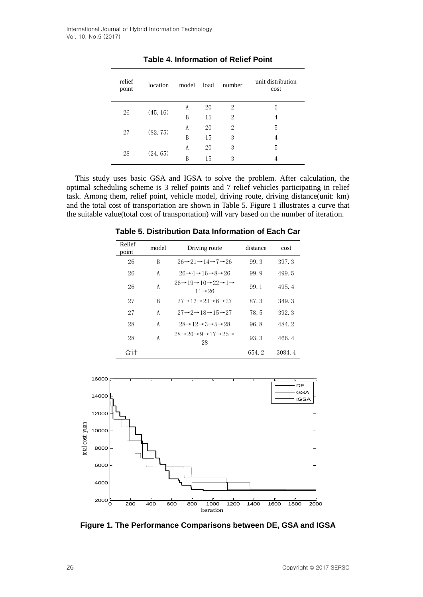| relief<br>point | location | model | load | number | unit distribution<br>cost |
|-----------------|----------|-------|------|--------|---------------------------|
| 26              | (45, 16) | A     | 20   | 2      | 5                         |
|                 |          | B     | 15   | 2      | 4                         |
| 27              | (82, 75) | A     | 20   | 2      | 5                         |
|                 |          | B     | 15   | 3      | 4                         |
| 28              |          | A     | 20   | 3      | 5                         |
|                 | (24, 65) | B     | 15   | 3      | 4                         |

**Table 4. Information of Relief Point**

This study uses basic GSA and IGSA to solve the problem. After calculation, the optimal scheduling scheme is 3 relief points and 7 relief vehicles participating in relief task. Among them, relief point, vehicle model, driving route, driving distance(unit: km) and the total cost of transportation are shown in Table 5. Figure 1 illustrates a curve that the suitable value(total cost of transportation) will vary based on the number of iteration.

| Relief<br>point | model | Driving route                                                                                      | distance | cost   |
|-----------------|-------|----------------------------------------------------------------------------------------------------|----------|--------|
| 26              | B     | $26 \rightarrow 21 \rightarrow 14 \rightarrow 7 \rightarrow 26$                                    | 99.3     | 397.3  |
| 26              | A     | $26 \rightarrow 4 \rightarrow 16 \rightarrow 8 \rightarrow 26$                                     | 99.9     | 499.5  |
| 26              | A     | $26 \rightarrow 19 \rightarrow 10 \rightarrow 22 \rightarrow 1 \rightarrow$<br>$11 \rightarrow 26$ | 99.1     | 495.4  |
| 27              | B     | $27 \rightarrow 13 \rightarrow 23 \rightarrow 6 \rightarrow 27$                                    | 87.3     | 349.3  |
| 27              | A     | $27 \rightarrow 2 \rightarrow 18 \rightarrow 15 \rightarrow 27$                                    | 78.5     | 392.3  |
| 28              | A     | $28 \rightarrow 12 \rightarrow 3 \rightarrow 5 \rightarrow 28$                                     | 96.8     | 484.2  |
| 28              | A     | $28 \rightarrow 20 \rightarrow 9 \rightarrow 17 \rightarrow 25 \rightarrow$<br>28                  | 93.3     | 466.4  |
| 合计              |       |                                                                                                    | 654.2    | 3084.4 |

**Table 5. Distribution Data Information of Each Car** 



**Figure 1. The Performance Comparisons between DE, GSA and IGSA**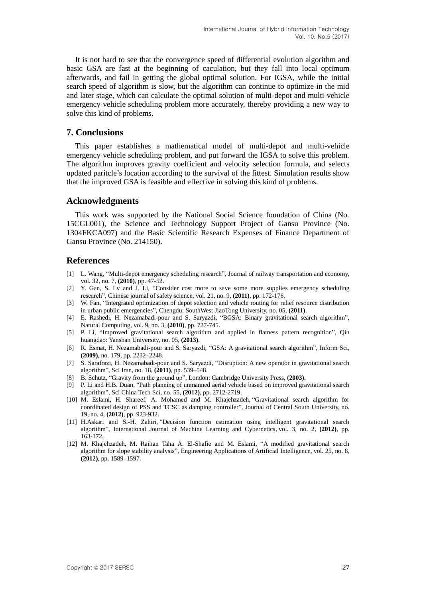It is not hard to see that the convergence speed of differential evolution algorithm and basic GSA are fast at the beginning of caculation, but they fall into local optimum afterwards, and fail in getting the global optimal solution. For IGSA, while the initial search speed of algorithm is slow, but the algorithm can continue to optimize in the mid and later stage, which can calculate the optimal solution of multi-depot and multi-vehicle emergency vehicle scheduling problem more accurately, thereby providing a new way to solve this kind of problems.

## **7. Conclusions**

This paper establishes a mathematical model of multi-depot and multi-vehicle emergency vehicle scheduling problem, and put forward the IGSA to solve this problem. The algorithm improves gravity coefficient and velocity selection formula, and selects updated paritcle's location according to the survival of the fittest. Simulation results show that the improved GSA is feasible and effective in solving this kind of problems.

### **Acknowledgments**

This work was supported by the National Social Science foundation of China (No. 15CGL001), the Science and Technology Support Project of Gansu Province (No. 1304FKCA097) and the Basic Scientific Research Expenses of Finance Department of Gansu Province (No. 214150).

## **References**

- [1] L. Wang, "Multi-depot emergency scheduling research", Journal of railway transportation and economy, vol. 32, no. 7, **(2010)**, pp. 47-52.
- [2] Y. Gan, S. Lv and J. Li, "Consider cost more to save some more supplies emergency scheduling research", Chinese journal of safety science, vol. 21, no. 9, **(2011)**, pp. 172-176.
- [3] W. Fan, "Intergrated optimization of depot selection and vehicle routing for relief resource distribution in urban public emergencies", Chengdu: SouthWest JiaoTong University, no. 05, **(2011)**.
- [4] E. Rashedi, H. Nezamabadi-pour and S. Saryazdi, "BGSA: Binary gravitational search algorithm", Natural Computing, vol. 9, no. 3, **(2010)**, pp. 727-745.
- [5] P. Li, "Improved gravitational search algorithm and applied in flatness pattern recognition", Qin huangdao: Yanshan University, no. 05, **(2013)**.
- [6] R. Esmat, H. Nezamabadi-pour and S. Saryazdi, "GSA: A gravitational search algorithm", Inform Sci, **(2009)**, no. 179, pp. 2232–2248.
- [7] S. Sarafrazi, H. Nezamabadi-pour and S. Saryazdi, "Disruption: A new operator in gravitational search algorithm", Sci Iran, no. 18, **(2011)**, pp. 539–548.
- [8] B. Schutz, "Gravity from the ground up", London: Cambridge University Press, **(2003)**.
- [9] P. Li and H.B. Duan, "Path planning of unmanned aerial vehicle based on improved gravitational search algorithm", Sci China Tech Sci, no. 55, **(2012)**, pp. 2712-2719.
- [10] M. Eslami, H. Shareef, A. Mohamed and M. Khajehzadeh, ["Gravitational search algorithm for](http://www.cnki.net/kcms/detail/detail.aspx?filename=ZNGY201204013&dbcode=CJFQ&dbname=CJFD2012&v=)  [coordinated design of PSS and TCSC as damping controller"](http://www.cnki.net/kcms/detail/detail.aspx?filename=ZNGY201204013&dbcode=CJFQ&dbname=CJFD2012&v=), Journal of Central South University, no. 19, no. 4, **(2012)**, pp. 923-932.
- [11] H.Askari and S.-H. Zahiri, ["Decision function estimation using intelligent gravitational search](http://www.cnki.net/kcms/detail/detail.aspx?filename=SSJD120604002287&dbcode=SSJD&v=)  [algorithm"](http://www.cnki.net/kcms/detail/detail.aspx?filename=SSJD120604002287&dbcode=SSJD&v=), International Journal of Machine Learning and Cybernetics, vol. 3, no. 2, **(2012)**, pp. 163-172.
- [12] M. Khajehzadeh, M. Raihan Taha A. El-Shafie and M. Eslami, ["A modified gravitational search](http://www.cnki.net/kcms/detail/detail.aspx?filename=SJES13011501713458&dbcode=SSJD&v=)  [algorithm for slope stability analysis"](http://www.cnki.net/kcms/detail/detail.aspx?filename=SJES13011501713458&dbcode=SSJD&v=), Engineering Applications of Artificial Intelligence, vol. 25, no. 8, **(2012)**, pp. 1589–1597.